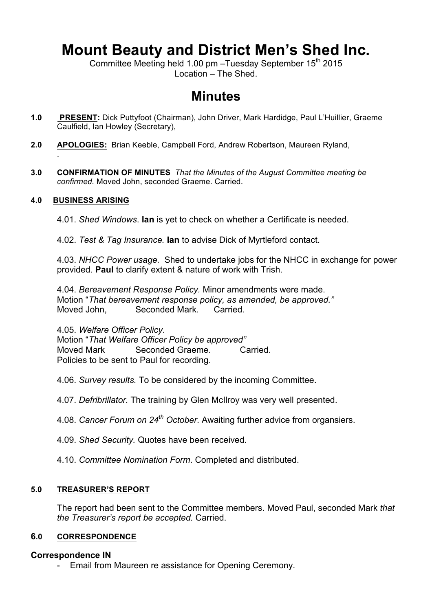# **Mount Beauty and District Men's Shed Inc.**

Committee Meeting held 1.00 pm –Tuesday September 15th 2015 Location – The Shed.

## **Minutes**

- **1.0 PRESENT:** Dick Puttyfoot (Chairman), John Driver, Mark Hardidge, Paul L'Huillier, Graeme Caulfield, Ian Howley (Secretary),
- **2.0 APOLOGIES:** Brian Keeble, Campbell Ford, Andrew Robertson, Maureen Ryland,
- **3.0 CONFIRMATION OF MINUTES** *That the Minutes of the August Committee meeting be confirmed.* Moved John, seconded Graeme. Carried.

## **4.0 BUSINESS ARISING**

.

4.01. *Shed Windows*. **Ian** is yet to check on whether a Certificate is needed.

4.02. *Test & Tag Insurance.* **Ian** to advise Dick of Myrtleford contact.

4.03. *NHCC Power usage.* Shed to undertake jobs for the NHCC in exchange for power provided. **Paul** to clarify extent & nature of work with Trish.

4.04. *Bereavement Response Policy.* Minor amendments were made. Motion "*That bereavement response policy, as amended, be approved."* Moved John, Seconded Mark. Carried.

4.05. *Welfare Officer Policy*.

Motion "*That Welfare Officer Policy be approved"* Moved Mark Seconded Graeme. Carried. Policies to be sent to Paul for recording.

4.06. *Survey results.* To be considered by the incoming Committee.

4.07. *Defribrillator.* The training by Glen McIlroy was very well presented.

4.08. *Cancer Forum on 24th October*. Awaiting further advice from organsiers.

4.09. *Shed Security.* Quotes have been received.

4.10. *Committee Nomination Form*. Completed and distributed.

## **5.0 TREASURER'S REPORT**

The report had been sent to the Committee members. Moved Paul, seconded Mark *that the Treasurer's report be accepted.* Carried.

## **6.0 CORRESPONDENCE**

## **Correspondence IN**

- Email from Maureen re assistance for Opening Ceremony.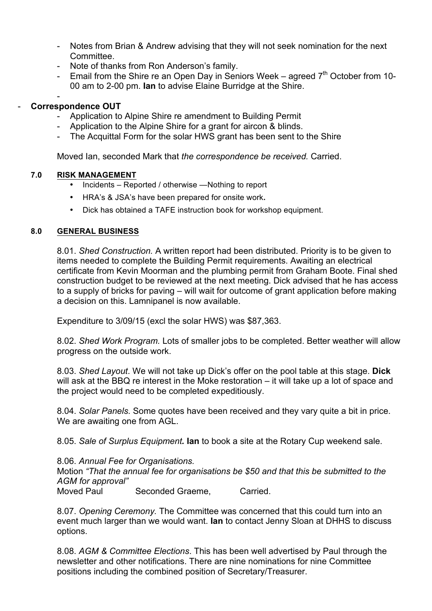- Notes from Brian & Andrew advising that they will not seek nomination for the next Committee.
- Note of thanks from Ron Anderson's family.
- Email from the Shire re an Open Day in Seniors Week agreed  $7<sup>th</sup>$  October from 10-00 am to 2-00 pm. **Ian** to advise Elaine Burridge at the Shire.

#### - - **Correspondence OUT**

- Application to Alpine Shire re amendment to Building Permit
- Application to the Alpine Shire for a grant for aircon & blinds.
- The Acquittal Form for the solar HWS grant has been sent to the Shire

Moved Ian, seconded Mark that *the correspondence be received.* Carried.

## **7.0 RISK MANAGEMENT**

- Incidents Reported / otherwise —Nothing to report
- HRA's & JSA's have been prepared for onsite work**.**
- Dick has obtained a TAFE instruction book for workshop equipment.

## **8.0 GENERAL BUSINESS**

8.01. *Shed Construction.* A written report had been distributed. Priority is to be given to items needed to complete the Building Permit requirements. Awaiting an electrical certificate from Kevin Moorman and the plumbing permit from Graham Boote. Final shed construction budget to be reviewed at the next meeting. Dick advised that he has access to a supply of bricks for paving – will wait for outcome of grant application before making a decision on this. Lamnipanel is now available.

Expenditure to 3/09/15 (excl the solar HWS) was \$87,363.

8.02. *Shed Work Program.* Lots of smaller jobs to be completed. Better weather will allow progress on the outside work.

8.03. *Shed Layout*. We will not take up Dick's offer on the pool table at this stage. **Dick** will ask at the BBQ re interest in the Moke restoration – it will take up a lot of space and the project would need to be completed expeditiously.

8.04. *Solar Panels.* Some quotes have been received and they vary quite a bit in price. We are awaiting one from AGL.

8.05. *Sale of Surplus Equipment.* **Ian** to book a site at the Rotary Cup weekend sale.

8.06. *Annual Fee for Organisations.*

Motion *"That the annual fee for organisations be \$50 and that this be submitted to the AGM for approval"*

Seconded Graeme, Carried.

8.07. *Opening Ceremony.* The Committee was concerned that this could turn into an event much larger than we would want. **Ian** to contact Jenny Sloan at DHHS to discuss options.

8.08. *AGM & Committee Elections*. This has been well advertised by Paul through the newsletter and other notifications. There are nine nominations for nine Committee positions including the combined position of Secretary/Treasurer.